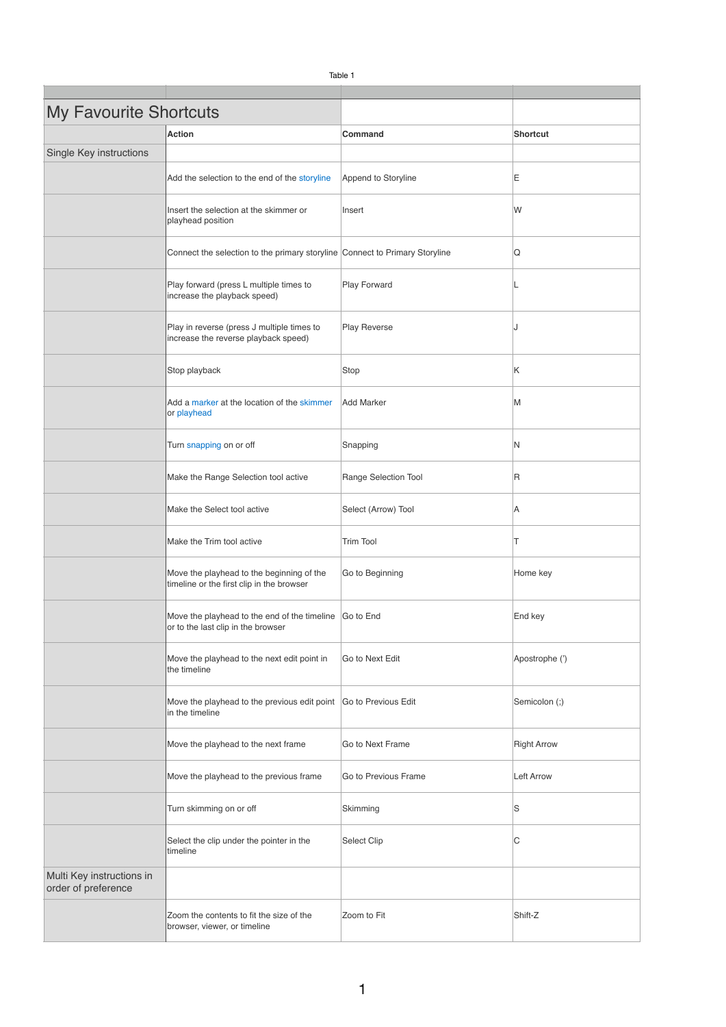| <b>My Favourite Shortcuts</b>                    |                                                                                              |                      |                    |
|--------------------------------------------------|----------------------------------------------------------------------------------------------|----------------------|--------------------|
|                                                  | <b>Action</b>                                                                                | Command              | Shortcut           |
| Single Key instructions                          |                                                                                              |                      |                    |
|                                                  | Add the selection to the end of the storyline                                                | Append to Storyline  | Ε                  |
|                                                  | Insert the selection at the skimmer or<br>playhead position                                  | Insert               | W                  |
|                                                  | Connect the selection to the primary storyline Connect to Primary Storyline                  |                      | Q                  |
|                                                  | Play forward (press L multiple times to<br>increase the playback speed)                      | Play Forward         | L                  |
|                                                  | Play in reverse (press J multiple times to<br>increase the reverse playback speed)           | <b>Play Reverse</b>  | J                  |
|                                                  | Stop playback                                                                                | Stop                 | Κ                  |
|                                                  | Add a marker at the location of the skimmer<br>or playhead                                   | <b>Add Marker</b>    | M                  |
|                                                  | Turn snapping on or off                                                                      | Snapping             | N                  |
|                                                  | Make the Range Selection tool active                                                         | Range Selection Tool | $\mathsf R$        |
|                                                  | Make the Select tool active                                                                  | Select (Arrow) Tool  | Α                  |
|                                                  | Make the Trim tool active                                                                    | <b>Trim Tool</b>     | Т                  |
|                                                  | Move the playhead to the beginning of the<br>timeline or the first clip in the browser       | Go to Beginning      | Home key           |
|                                                  | Move the playhead to the end of the timeline Go to End<br>or to the last clip in the browser |                      | End key            |
|                                                  | Move the playhead to the next edit point in<br>the timeline                                  | Go to Next Edit      | Apostrophe (')     |
|                                                  | Move the playhead to the previous edit point Go to Previous Edit<br>in the timeline          |                      | Semicolon (;)      |
|                                                  | Move the playhead to the next frame                                                          | Go to Next Frame     | <b>Right Arrow</b> |
|                                                  | Move the playhead to the previous frame                                                      | Go to Previous Frame | <b>Left Arrow</b>  |
|                                                  | Turn skimming on or off                                                                      | Skimming             | S                  |
|                                                  | Select the clip under the pointer in the<br>timeline                                         | Select Clip          | C                  |
| Multi Key instructions in<br>order of preference |                                                                                              |                      |                    |
|                                                  | Zoom the contents to fit the size of the<br>browser, viewer, or timeline                     | Zoom to Fit          | Shift-Z            |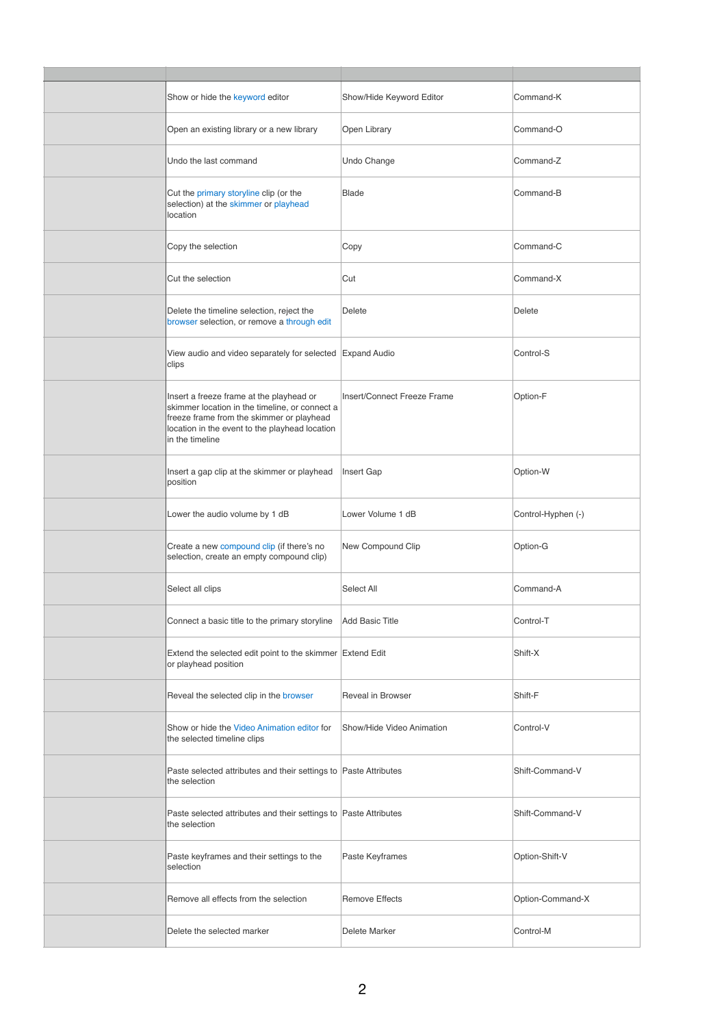| Show or hide the keyword editor                                                                                                                                                                              | Show/Hide Keyword Editor    | Command-K          |
|--------------------------------------------------------------------------------------------------------------------------------------------------------------------------------------------------------------|-----------------------------|--------------------|
| Open an existing library or a new library                                                                                                                                                                    | Open Library                | Command-O          |
| Undo the last command                                                                                                                                                                                        | Undo Change                 | Command-Z          |
| Cut the primary storyline clip (or the<br>selection) at the skimmer or playhead<br>location                                                                                                                  | Blade                       | Command-B          |
| Copy the selection                                                                                                                                                                                           | Copy                        | Command-C          |
| Cut the selection                                                                                                                                                                                            | Cut                         | Command-X          |
| Delete the timeline selection, reject the<br>browser selection, or remove a through edit                                                                                                                     | Delete                      | Delete             |
| View audio and video separately for selected Expand Audio<br>clips                                                                                                                                           |                             | Control-S          |
| Insert a freeze frame at the playhead or<br>skimmer location in the timeline, or connect a<br>freeze frame from the skimmer or playhead<br>location in the event to the playhead location<br>in the timeline | Insert/Connect Freeze Frame | Option-F           |
| Insert a gap clip at the skimmer or playhead<br>position                                                                                                                                                     | Insert Gap                  | Option-W           |
| Lower the audio volume by 1 dB                                                                                                                                                                               | Lower Volume 1 dB           | Control-Hyphen (-) |
| Create a new compound clip (if there's no<br>selection, create an empty compound clip)                                                                                                                       | New Compound Clip           | Option-G           |
| Select all clips                                                                                                                                                                                             | Select All                  | Command-A          |
| Connect a basic title to the primary storyline                                                                                                                                                               | <b>Add Basic Title</b>      | Control-T          |
| Extend the selected edit point to the skimmer Extend Edit<br>or playhead position                                                                                                                            |                             | Shift-X            |
| Reveal the selected clip in the browser                                                                                                                                                                      | Reveal in Browser           | Shift-F            |
| Show or hide the Video Animation editor for<br>the selected timeline clips                                                                                                                                   | Show/Hide Video Animation   | Control-V          |
| Paste selected attributes and their settings to Paste Attributes<br>the selection                                                                                                                            |                             | Shift-Command-V    |
| Paste selected attributes and their settings to Paste Attributes<br>the selection                                                                                                                            |                             | Shift-Command-V    |
| Paste keyframes and their settings to the<br>selection                                                                                                                                                       | Paste Keyframes             | Option-Shift-V     |
| Remove all effects from the selection                                                                                                                                                                        | <b>Remove Effects</b>       | Option-Command-X   |
| Delete the selected marker                                                                                                                                                                                   | Delete Marker               | Control-M          |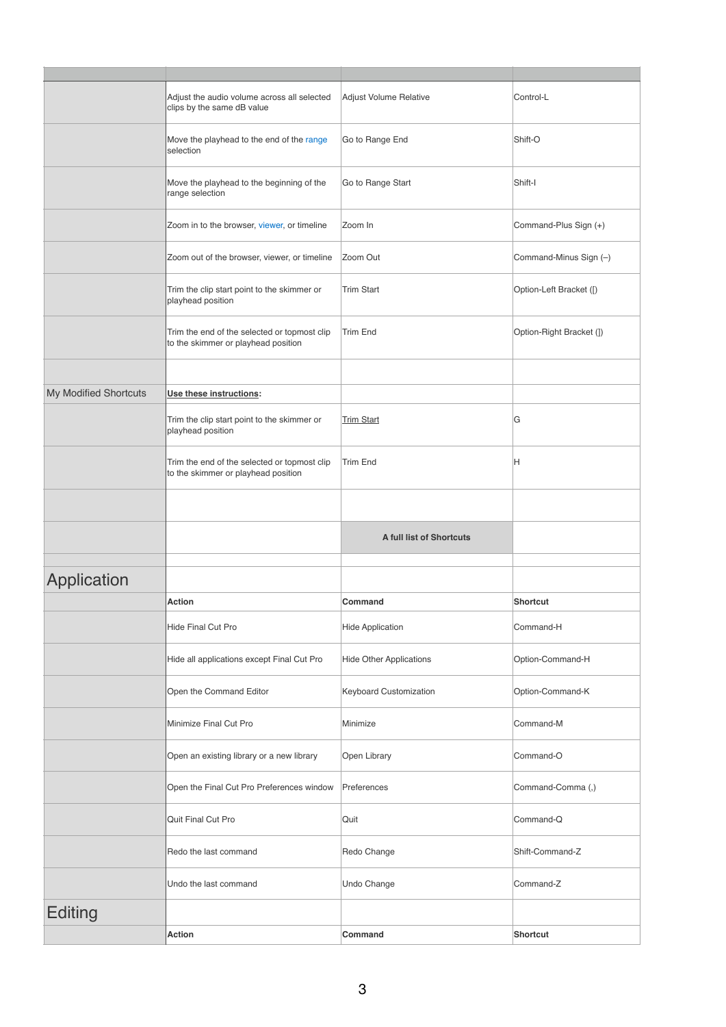|                       | Adjust the audio volume across all selected<br>clips by the same dB value           | Adjust Volume Relative         | Control-L                |
|-----------------------|-------------------------------------------------------------------------------------|--------------------------------|--------------------------|
|                       | Move the playhead to the end of the range<br>selection                              | Go to Range End                | Shift-O                  |
|                       | Move the playhead to the beginning of the<br>range selection                        | Go to Range Start              | Shift-I                  |
|                       | Zoom in to the browser, viewer, or timeline                                         | Zoom In                        | Command-Plus Sign (+)    |
|                       | Zoom out of the browser, viewer, or timeline                                        | Zoom Out                       | Command-Minus Sign (-)   |
|                       | Trim the clip start point to the skimmer or<br>playhead position                    | <b>Trim Start</b>              | Option-Left Bracket ([)  |
|                       | Trim the end of the selected or topmost clip<br>to the skimmer or playhead position | <b>Trim End</b>                | Option-Right Bracket (1) |
|                       |                                                                                     |                                |                          |
| My Modified Shortcuts | Use these instructions:                                                             |                                |                          |
|                       | Trim the clip start point to the skimmer or<br>playhead position                    | <b>Trim Start</b>              | G                        |
|                       | Trim the end of the selected or topmost clip<br>to the skimmer or playhead position | <b>Trim End</b>                | Н                        |
|                       |                                                                                     |                                |                          |
|                       |                                                                                     | A full list of Shortcuts       |                          |
|                       |                                                                                     |                                |                          |
| Application           |                                                                                     |                                |                          |
|                       | Action                                                                              | Command                        | <b>Shortcut</b>          |
|                       | Hide Final Cut Pro                                                                  | <b>Hide Application</b>        | Command-H                |
|                       | Hide all applications except Final Cut Pro                                          | <b>Hide Other Applications</b> | Option-Command-H         |
|                       | Open the Command Editor                                                             | Keyboard Customization         | Option-Command-K         |
|                       | Minimize Final Cut Pro                                                              | Minimize                       | Command-M                |
|                       | Open an existing library or a new library                                           | Open Library                   | Command-O                |
|                       | Open the Final Cut Pro Preferences window                                           | Preferences                    | Command-Comma (,)        |
|                       | Quit Final Cut Pro                                                                  | Quit                           | Command-Q                |
|                       | Redo the last command                                                               | Redo Change                    | Shift-Command-Z          |
|                       | Undo the last command                                                               | Undo Change                    | Command-Z                |
| <b>Editing</b>        |                                                                                     |                                |                          |
|                       | Action                                                                              | Command                        | Shortcut                 |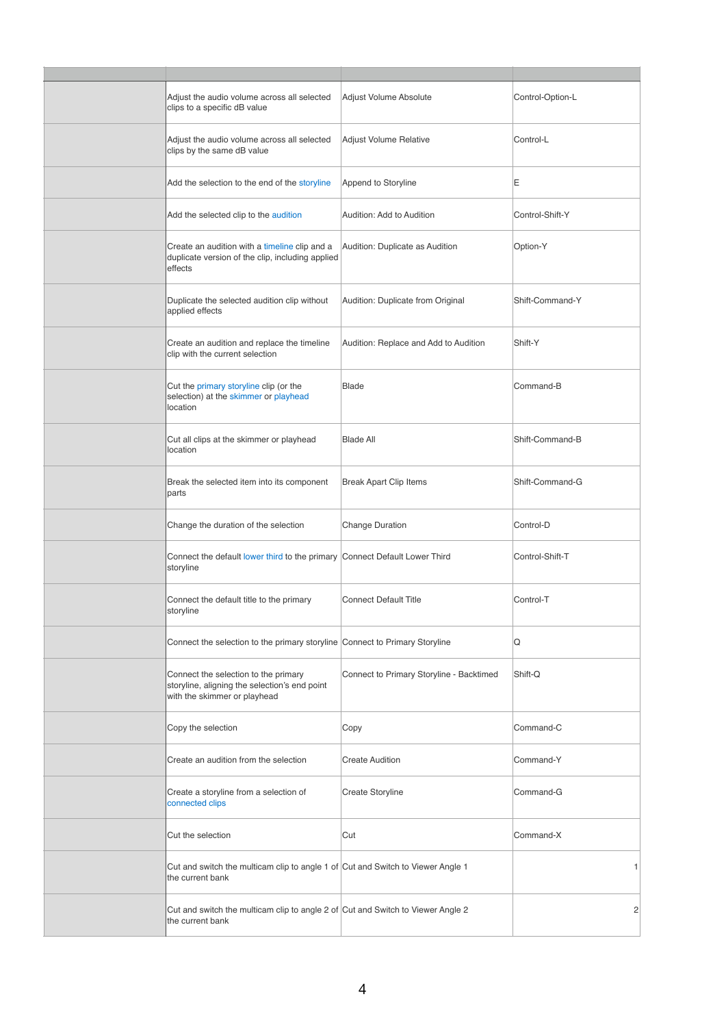| Adjust the audio volume across all selected<br>clips to a specific dB value                                           | Adjust Volume Absolute                   | Control-Option-L |
|-----------------------------------------------------------------------------------------------------------------------|------------------------------------------|------------------|
| Adjust the audio volume across all selected<br>clips by the same dB value                                             | Adjust Volume Relative                   | Control-L        |
| Add the selection to the end of the storyline                                                                         | Append to Storyline                      | Ε                |
| Add the selected clip to the audition                                                                                 | Audition: Add to Audition                | Control-Shift-Y  |
| Create an audition with a timeline clip and a<br>duplicate version of the clip, including applied<br>effects          | Audition: Duplicate as Audition          | Option-Y         |
| Duplicate the selected audition clip without<br>applied effects                                                       | Audition: Duplicate from Original        | Shift-Command-Y  |
| Create an audition and replace the timeline<br>clip with the current selection                                        | Audition: Replace and Add to Audition    | Shift-Y          |
| Cut the primary storyline clip (or the<br>selection) at the skimmer or playhead<br>location                           | <b>Blade</b>                             | Command-B        |
| Cut all clips at the skimmer or playhead<br>location                                                                  | <b>Blade All</b>                         | Shift-Command-B  |
| Break the selected item into its component<br>parts                                                                   | <b>Break Apart Clip Items</b>            | Shift-Command-G  |
| Change the duration of the selection                                                                                  | Change Duration                          | Control-D        |
| Connect the default lower third to the primary Connect Default Lower Third<br>storyline                               |                                          | Control-Shift-T  |
| Connect the default title to the primary<br>storyline                                                                 | <b>Connect Default Title</b>             | Control-T        |
| Connect the selection to the primary storyline Connect to Primary Storyline                                           |                                          | Q                |
| Connect the selection to the primary<br>storyline, aligning the selection's end point<br>with the skimmer or playhead | Connect to Primary Storyline - Backtimed | Shift-Q          |
| Copy the selection                                                                                                    | Copy                                     | Command-C        |
| Create an audition from the selection                                                                                 | <b>Create Audition</b>                   | Command-Y        |
| Create a storyline from a selection of<br>connected clips                                                             | Create Storyline                         | Command-G        |
| Cut the selection                                                                                                     | Cut                                      | Command-X        |
| Cut and switch the multicam clip to angle 1 of Cut and Switch to Viewer Angle 1<br>the current bank                   |                                          | 1                |
| Cut and switch the multicam clip to angle 2 of Cut and Switch to Viewer Angle 2<br>the current bank                   |                                          | 2                |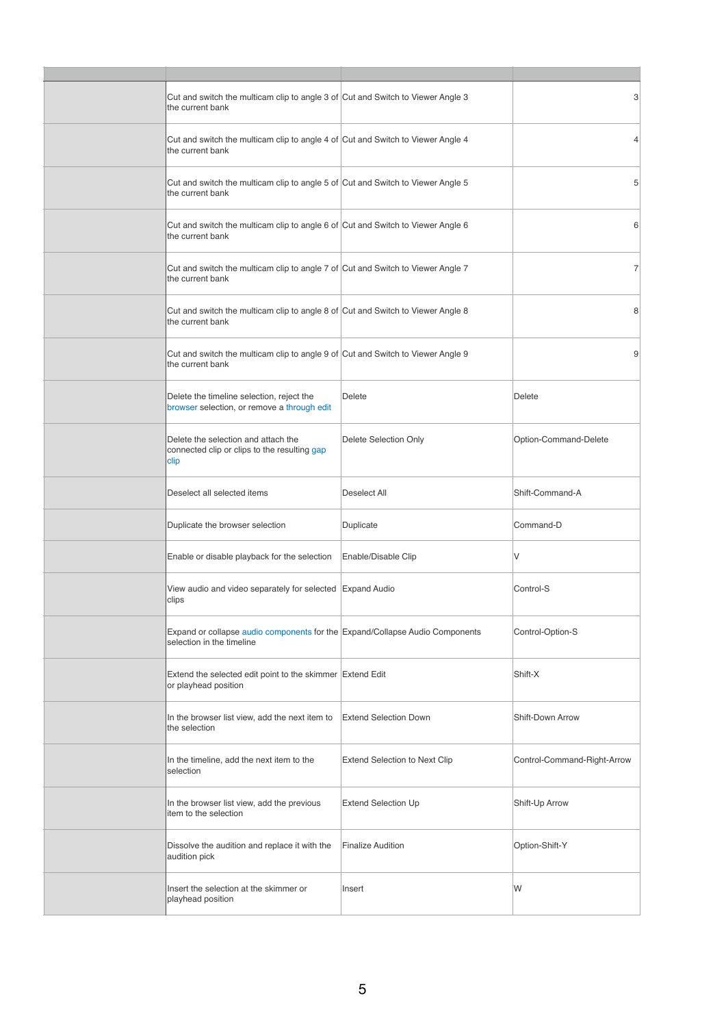| Cut and switch the multicam clip to angle 3 of Cut and Switch to Viewer Angle 3<br>the current bank       |                                      | 3                           |
|-----------------------------------------------------------------------------------------------------------|--------------------------------------|-----------------------------|
| Cut and switch the multicam clip to angle 4 of Cut and Switch to Viewer Angle 4<br>the current bank       |                                      | $\overline{4}$              |
| Cut and switch the multicam clip to angle 5 of Cut and Switch to Viewer Angle 5<br>the current bank       |                                      | 5                           |
| Cut and switch the multicam clip to angle 6 of Cut and Switch to Viewer Angle 6<br>the current bank       |                                      | 6                           |
| Cut and switch the multicam clip to angle 7 of Cut and Switch to Viewer Angle 7<br>the current bank       |                                      | 7                           |
| Cut and switch the multicam clip to angle 8 of Cut and Switch to Viewer Angle 8<br>the current bank       |                                      | 8                           |
| Cut and switch the multicam clip to angle 9 of Cut and Switch to Viewer Angle 9<br>the current bank       |                                      | 9                           |
| Delete the timeline selection, reject the<br>browser selection, or remove a through edit                  | Delete                               | Delete                      |
| Delete the selection and attach the<br>connected clip or clips to the resulting gap<br>clip               | Delete Selection Only                | Option-Command-Delete       |
| Deselect all selected items                                                                               | Deselect All                         | Shift-Command-A             |
| Duplicate the browser selection                                                                           | Duplicate                            | Command-D                   |
| Enable or disable playback for the selection                                                              | Enable/Disable Clip                  | V                           |
| View audio and video separately for selected Expand Audio<br>clips                                        |                                      | Control-S                   |
| Expand or collapse audio components for the Expand/Collapse Audio Components<br>selection in the timeline |                                      | Control-Option-S            |
| Extend the selected edit point to the skimmer Extend Edit<br>or playhead position                         |                                      | Shift-X                     |
| In the browser list view, add the next item to<br>the selection                                           | <b>Extend Selection Down</b>         | Shift-Down Arrow            |
| In the timeline, add the next item to the<br>selection                                                    | <b>Extend Selection to Next Clip</b> | Control-Command-Right-Arrow |
| In the browser list view, add the previous<br>item to the selection                                       | <b>Extend Selection Up</b>           | Shift-Up Arrow              |
| Dissolve the audition and replace it with the<br>audition pick                                            | <b>Finalize Audition</b>             | Option-Shift-Y              |
| Insert the selection at the skimmer or<br>playhead position                                               | Insert                               | W                           |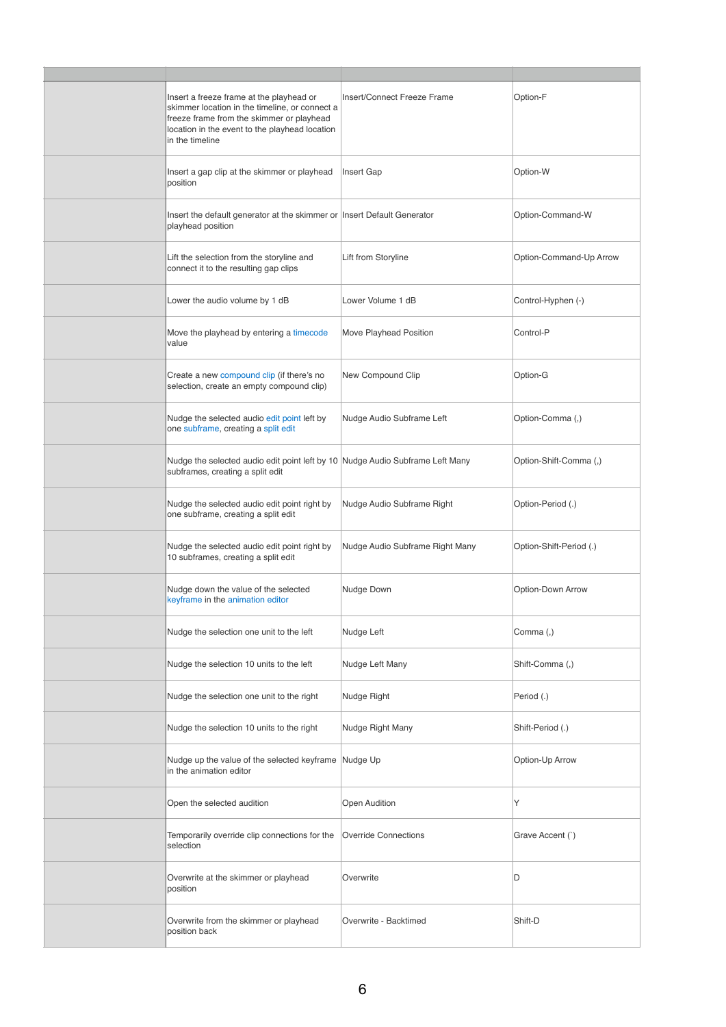| Insert a freeze frame at the playhead or<br>skimmer location in the timeline, or connect a<br>freeze frame from the skimmer or playhead<br>location in the event to the playhead location<br>in the timeline | Insert/Connect Freeze Frame     | Option-F                |
|--------------------------------------------------------------------------------------------------------------------------------------------------------------------------------------------------------------|---------------------------------|-------------------------|
| Insert a gap clip at the skimmer or playhead<br>position                                                                                                                                                     | Insert Gap                      | Option-W                |
| Insert the default generator at the skimmer or Insert Default Generator<br>playhead position                                                                                                                 |                                 | Option-Command-W        |
| Lift the selection from the storyline and<br>connect it to the resulting gap clips                                                                                                                           | Lift from Storyline             | Option-Command-Up Arrow |
| Lower the audio volume by 1 dB                                                                                                                                                                               | Lower Volume 1 dB               | Control-Hyphen (-)      |
| Move the playhead by entering a timecode<br>value                                                                                                                                                            | Move Playhead Position          | Control-P               |
| Create a new compound clip (if there's no<br>selection, create an empty compound clip)                                                                                                                       | New Compound Clip               | Option-G                |
| Nudge the selected audio edit point left by<br>one subframe, creating a split edit                                                                                                                           | Nudge Audio Subframe Left       | Option-Comma (,)        |
| Nudge the selected audio edit point left by 10 Nudge Audio Subframe Left Many<br>subframes, creating a split edit                                                                                            |                                 | Option-Shift-Comma (,)  |
| Nudge the selected audio edit point right by<br>one subframe, creating a split edit                                                                                                                          | Nudge Audio Subframe Right      | Option-Period (.)       |
| Nudge the selected audio edit point right by<br>10 subframes, creating a split edit                                                                                                                          | Nudge Audio Subframe Right Many | Option-Shift-Period (.) |
| Nudge down the value of the selected<br>keyframe in the animation editor                                                                                                                                     | Nudge Down                      | Option-Down Arrow       |
| Nudge the selection one unit to the left                                                                                                                                                                     | Nudge Left                      | Comma (,)               |
| Nudge the selection 10 units to the left                                                                                                                                                                     | Nudge Left Many                 | Shift-Comma (,)         |
| Nudge the selection one unit to the right                                                                                                                                                                    | Nudge Right                     | Period (.)              |
| Nudge the selection 10 units to the right                                                                                                                                                                    | Nudge Right Many                | Shift-Period (.)        |
| Nudge up the value of the selected keyframe<br>in the animation editor                                                                                                                                       | Nudge Up                        | Option-Up Arrow         |
| Open the selected audition                                                                                                                                                                                   | <b>Open Audition</b>            | Y                       |
| Temporarily override clip connections for the<br>selection                                                                                                                                                   | <b>Override Connections</b>     | Grave Accent (`)        |
| Overwrite at the skimmer or playhead<br>position                                                                                                                                                             | Overwrite                       | D                       |
| Overwrite from the skimmer or playhead<br>position back                                                                                                                                                      | Overwrite - Backtimed           | Shift-D                 |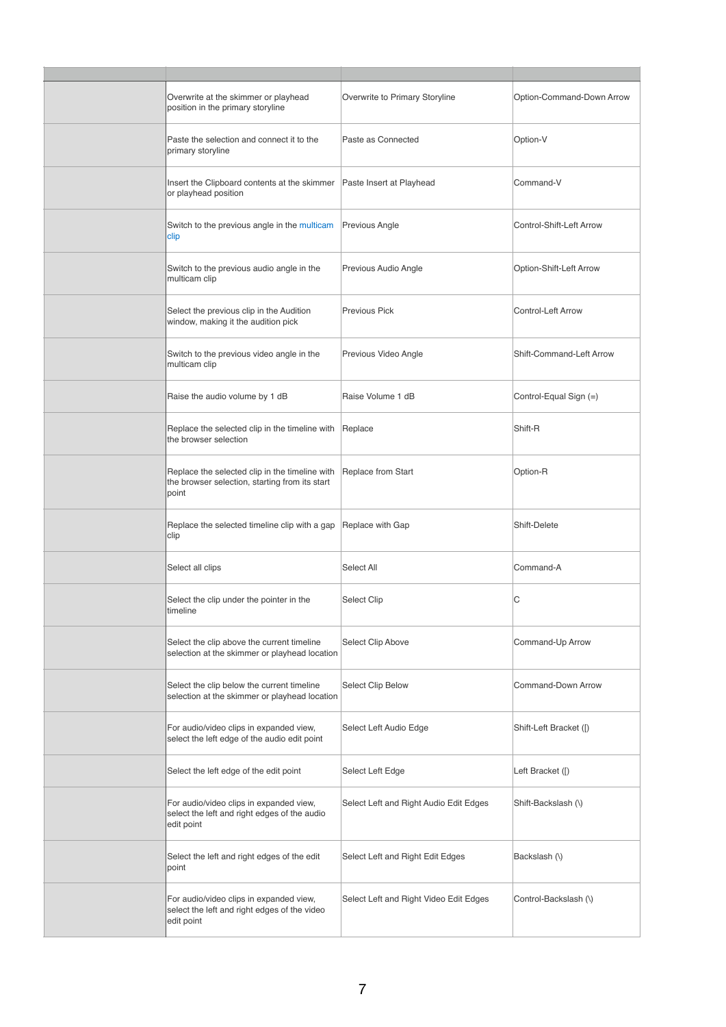| Overwrite at the skimmer or playhead<br>position in the primary storyline                                 | Overwrite to Primary Storyline         | Option-Command-Down Arrow |
|-----------------------------------------------------------------------------------------------------------|----------------------------------------|---------------------------|
| Paste the selection and connect it to the<br>primary storyline                                            | Paste as Connected                     | Option-V                  |
| Insert the Clipboard contents at the skimmer<br>or playhead position                                      | Paste Insert at Playhead               | Command-V                 |
| Switch to the previous angle in the multicam<br>clip                                                      | Previous Angle                         | Control-Shift-Left Arrow  |
| Switch to the previous audio angle in the<br>multicam clip                                                | Previous Audio Angle                   | Option-Shift-Left Arrow   |
| Select the previous clip in the Audition<br>window, making it the audition pick                           | <b>Previous Pick</b>                   | Control-Left Arrow        |
| Switch to the previous video angle in the<br>multicam clip                                                | Previous Video Angle                   | Shift-Command-Left Arrow  |
| Raise the audio volume by 1 dB                                                                            | Raise Volume 1 dB                      | Control-Equal Sign (=)    |
| Replace the selected clip in the timeline with<br>the browser selection                                   | Replace                                | Shift-R                   |
| Replace the selected clip in the timeline with<br>the browser selection, starting from its start<br>point | Replace from Start                     | Option-R                  |
| Replace the selected timeline clip with a gap<br>clip                                                     | Replace with Gap                       | Shift-Delete              |
| Select all clips                                                                                          | Select All                             | Command-A                 |
| Select the clip under the pointer in the<br>timeline                                                      | Select Clip                            | С                         |
| Select the clip above the current timeline<br>selection at the skimmer or playhead location               | Select Clip Above                      | Command-Up Arrow          |
| Select the clip below the current timeline<br>selection at the skimmer or playhead location               | Select Clip Below                      | Command-Down Arrow        |
| For audio/video clips in expanded view,<br>select the left edge of the audio edit point                   | Select Left Audio Edge                 | Shift-Left Bracket ([)    |
| Select the left edge of the edit point                                                                    | Select Left Edge                       | Left Bracket ([)          |
| For audio/video clips in expanded view,<br>select the left and right edges of the audio<br>edit point     | Select Left and Right Audio Edit Edges | Shift-Backslash (\)       |
| Select the left and right edges of the edit<br>point                                                      | Select Left and Right Edit Edges       | Backslash (\)             |
| For audio/video clips in expanded view,<br>select the left and right edges of the video<br>edit point     | Select Left and Right Video Edit Edges | Control-Backslash (\)     |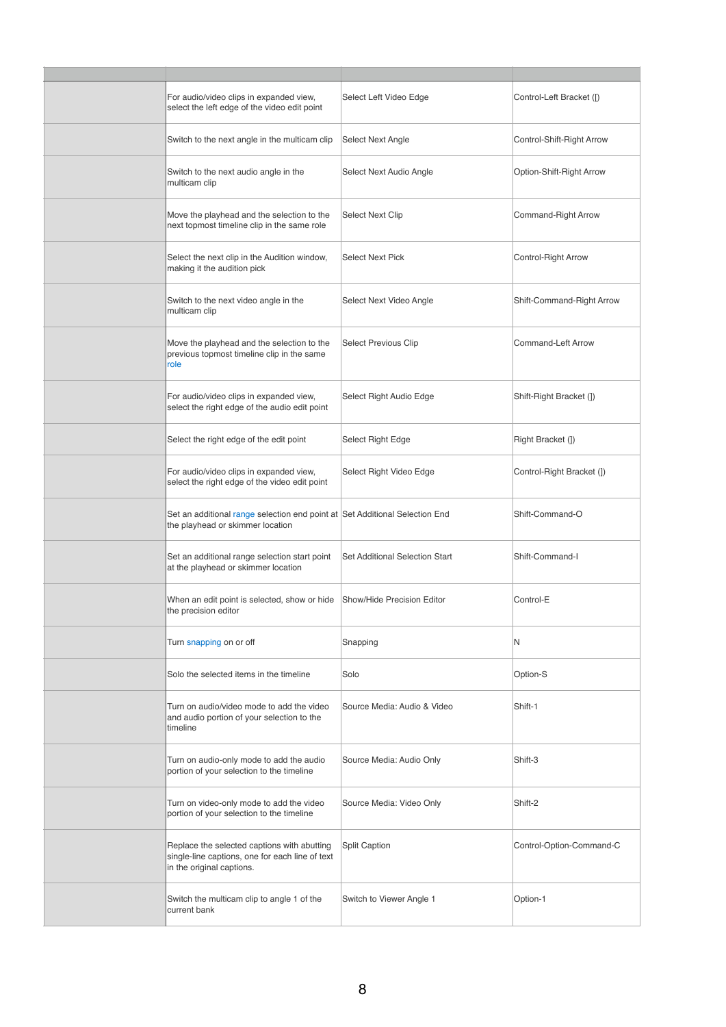| For audio/video clips in expanded view,<br>select the left edge of the video edit point                                     | Select Left Video Edge         | Control-Left Bracket ([)  |
|-----------------------------------------------------------------------------------------------------------------------------|--------------------------------|---------------------------|
| Switch to the next angle in the multicam clip                                                                               | Select Next Angle              | Control-Shift-Right Arrow |
| Switch to the next audio angle in the<br>multicam clip                                                                      | Select Next Audio Angle        | Option-Shift-Right Arrow  |
| Move the playhead and the selection to the<br>next topmost timeline clip in the same role                                   | <b>Select Next Clip</b>        | Command-Right Arrow       |
| Select the next clip in the Audition window,<br>making it the audition pick                                                 | <b>Select Next Pick</b>        | Control-Right Arrow       |
| Switch to the next video angle in the<br>multicam clip                                                                      | Select Next Video Angle        | Shift-Command-Right Arrow |
| Move the playhead and the selection to the<br>previous topmost timeline clip in the same<br>role                            | Select Previous Clip           | Command-Left Arrow        |
| For audio/video clips in expanded view,<br>select the right edge of the audio edit point                                    | Select Right Audio Edge        | Shift-Right Bracket (1)   |
| Select the right edge of the edit point                                                                                     | Select Right Edge              | Right Bracket (])         |
| For audio/video clips in expanded view,<br>select the right edge of the video edit point                                    | Select Right Video Edge        | Control-Right Bracket (]) |
| Set an additional range selection end point at Set Additional Selection End<br>the playhead or skimmer location             |                                | Shift-Command-O           |
| Set an additional range selection start point<br>at the playhead or skimmer location                                        | Set Additional Selection Start | Shift-Command-I           |
| When an edit point is selected, show or hide<br>the precision editor                                                        | Show/Hide Precision Editor     | Control-E                 |
| Turn snapping on or off                                                                                                     | Snapping                       | N                         |
| Solo the selected items in the timeline                                                                                     | Solo                           | Option-S                  |
| Turn on audio/video mode to add the video<br>and audio portion of your selection to the<br>timeline                         | Source Media: Audio & Video    | Shift-1                   |
| Turn on audio-only mode to add the audio<br>portion of your selection to the timeline                                       | Source Media: Audio Only       | Shift-3                   |
| Turn on video-only mode to add the video<br>portion of your selection to the timeline                                       | Source Media: Video Only       | Shift-2                   |
| Replace the selected captions with abutting<br>single-line captions, one for each line of text<br>in the original captions. | <b>Split Caption</b>           | Control-Option-Command-C  |
| Switch the multicam clip to angle 1 of the<br>current bank                                                                  | Switch to Viewer Angle 1       | Option-1                  |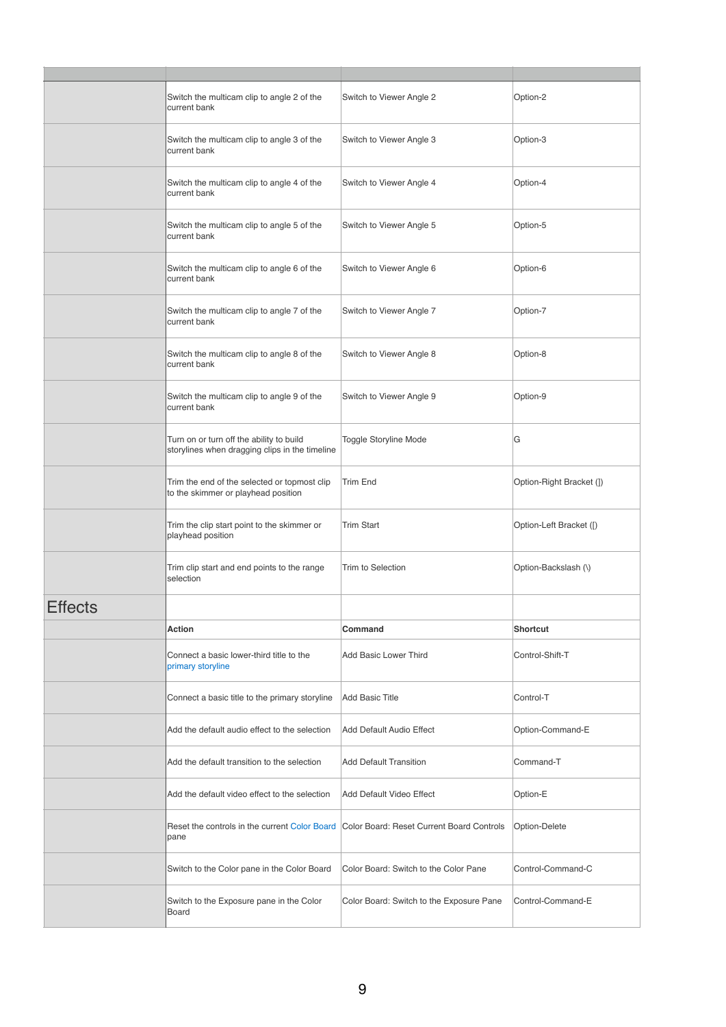|                | Switch the multicam clip to angle 2 of the<br>current bank                                 | Switch to Viewer Angle 2                  | Option-2                 |
|----------------|--------------------------------------------------------------------------------------------|-------------------------------------------|--------------------------|
|                | Switch the multicam clip to angle 3 of the<br>current bank                                 | Switch to Viewer Angle 3                  | Option-3                 |
|                | Switch the multicam clip to angle 4 of the<br>current bank                                 | Switch to Viewer Angle 4                  | Option-4                 |
|                | Switch the multicam clip to angle 5 of the<br>current bank                                 | Switch to Viewer Angle 5                  | Option-5                 |
|                | Switch the multicam clip to angle 6 of the<br>current bank                                 | Switch to Viewer Angle 6                  | Option-6                 |
|                | Switch the multicam clip to angle 7 of the<br>current bank                                 | Switch to Viewer Angle 7                  | Option-7                 |
|                | Switch the multicam clip to angle 8 of the<br>current bank                                 | Switch to Viewer Angle 8                  | Option-8                 |
|                | Switch the multicam clip to angle 9 of the<br>current bank                                 | Switch to Viewer Angle 9                  | Option-9                 |
|                | Turn on or turn off the ability to build<br>storylines when dragging clips in the timeline | <b>Toggle Storyline Mode</b>              | G                        |
|                | Trim the end of the selected or topmost clip<br>to the skimmer or playhead position        | <b>Trim End</b>                           | Option-Right Bracket (]) |
|                | Trim the clip start point to the skimmer or<br>playhead position                           | <b>Trim Start</b>                         | Option-Left Bracket ([)  |
|                | Trim clip start and end points to the range<br>selection                                   | Trim to Selection                         | Option-Backslash (\)     |
| <b>Effects</b> |                                                                                            |                                           |                          |
|                | Action                                                                                     | Command                                   | <b>Shortcut</b>          |
|                | Connect a basic lower-third title to the<br>primary storyline                              | Add Basic Lower Third                     | Control-Shift-T          |
|                | Connect a basic title to the primary storyline                                             | <b>Add Basic Title</b>                    | Control-T                |
|                | Add the default audio effect to the selection                                              | <b>Add Default Audio Effect</b>           | Option-Command-E         |
|                | Add the default transition to the selection                                                | <b>Add Default Transition</b>             | Command-T                |
|                | Add the default video effect to the selection                                              | Add Default Video Effect                  | Option-E                 |
|                | Reset the controls in the current Color Board<br>pane                                      | Color Board: Reset Current Board Controls | Option-Delete            |
|                | Switch to the Color pane in the Color Board                                                | Color Board: Switch to the Color Pane     | Control-Command-C        |
|                | Switch to the Exposure pane in the Color<br>Board                                          | Color Board: Switch to the Exposure Pane  | Control-Command-E        |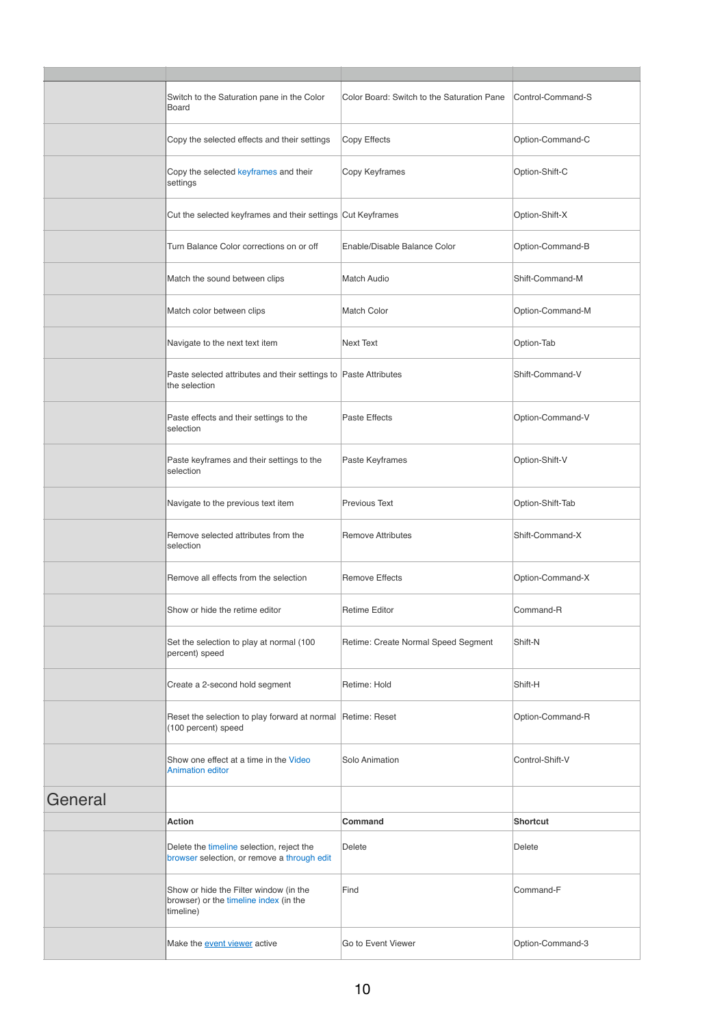|         | Switch to the Saturation pane in the Color<br>Board                                           | Color Board: Switch to the Saturation Pane | Control-Command-S |
|---------|-----------------------------------------------------------------------------------------------|--------------------------------------------|-------------------|
|         | Copy the selected effects and their settings                                                  | Copy Effects                               | Option-Command-C  |
|         | Copy the selected keyframes and their<br>settings                                             | Copy Keyframes                             | Option-Shift-C    |
|         | Cut the selected keyframes and their settings Cut Keyframes                                   |                                            | Option-Shift-X    |
|         | Turn Balance Color corrections on or off                                                      | Enable/Disable Balance Color               | Option-Command-B  |
|         | Match the sound between clips                                                                 | <b>Match Audio</b>                         | Shift-Command-M   |
|         | Match color between clips                                                                     | Match Color                                | Option-Command-M  |
|         | Navigate to the next text item                                                                | <b>Next Text</b>                           | Option-Tab        |
|         | Paste selected attributes and their settings to Paste Attributes<br>the selection             |                                            | Shift-Command-V   |
|         | Paste effects and their settings to the<br>selection                                          | Paste Effects                              | Option-Command-V  |
|         | Paste keyframes and their settings to the<br>selection                                        | Paste Keyframes                            | Option-Shift-V    |
|         | Navigate to the previous text item                                                            | <b>Previous Text</b>                       | Option-Shift-Tab  |
|         | Remove selected attributes from the<br>selection                                              | <b>Remove Attributes</b>                   | Shift-Command-X   |
|         | Remove all effects from the selection                                                         | <b>Remove Effects</b>                      | Option-Command-X  |
|         | Show or hide the retime editor                                                                | <b>Retime Editor</b>                       | Command-R         |
|         | Set the selection to play at normal (100<br>percent) speed                                    | Retime: Create Normal Speed Segment        | Shift-N           |
|         | Create a 2-second hold segment                                                                | Retime: Hold                               | Shift-H           |
|         | Reset the selection to play forward at normal Retime: Reset<br>(100 percent) speed            |                                            | Option-Command-R  |
|         | Show one effect at a time in the Video<br><b>Animation editor</b>                             | Solo Animation                             | Control-Shift-V   |
| General |                                                                                               |                                            |                   |
|         | <b>Action</b>                                                                                 | Command                                    | <b>Shortcut</b>   |
|         | Delete the timeline selection, reject the<br>browser selection, or remove a through edit      | Delete                                     | Delete            |
|         | Show or hide the Filter window (in the<br>browser) or the timeline index (in the<br>timeline) | Find                                       | Command-F         |
|         | Make the <b>event viewer</b> active                                                           | Go to Event Viewer                         | Option-Command-3  |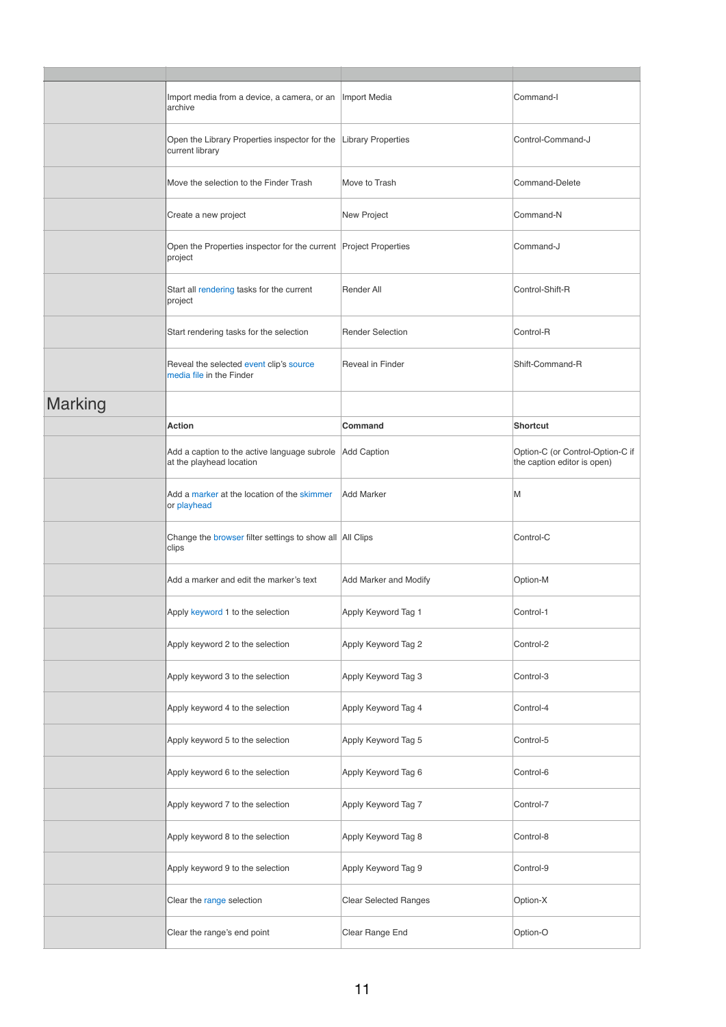|                | Import media from a device, a camera, or an<br>archive                              | Import Media                 | Command-I                                                       |
|----------------|-------------------------------------------------------------------------------------|------------------------------|-----------------------------------------------------------------|
|                | Open the Library Properties inspector for the Library Properties<br>current library |                              | Control-Command-J                                               |
|                | Move the selection to the Finder Trash                                              | Move to Trash                | Command-Delete                                                  |
|                | Create a new project                                                                | New Project                  | Command-N                                                       |
|                | Open the Properties inspector for the current Project Properties<br>project         |                              | Command-J                                                       |
|                | Start all rendering tasks for the current<br>project                                | Render All                   | Control-Shift-R                                                 |
|                | Start rendering tasks for the selection                                             | <b>Render Selection</b>      | Control-R                                                       |
|                | Reveal the selected event clip's source<br>media file in the Finder                 | <b>Reveal in Finder</b>      | Shift-Command-R                                                 |
| <b>Marking</b> |                                                                                     |                              |                                                                 |
|                | Action                                                                              | Command                      | <b>Shortcut</b>                                                 |
|                | Add a caption to the active language subrole<br>at the playhead location            | <b>Add Caption</b>           | Option-C (or Control-Option-C if<br>the caption editor is open) |
|                | Add a marker at the location of the skimmer<br>or playhead                          | <b>Add Marker</b>            | M                                                               |
|                | Change the browser filter settings to show all All Clips<br>clips                   |                              | Control-C                                                       |
|                | Add a marker and edit the marker's text                                             | Add Marker and Modify        | Option-M                                                        |
|                | Apply keyword 1 to the selection                                                    | Apply Keyword Tag 1          | Control-1                                                       |
|                | Apply keyword 2 to the selection                                                    | Apply Keyword Tag 2          | Control-2                                                       |
|                | Apply keyword 3 to the selection                                                    | Apply Keyword Tag 3          | Control-3                                                       |
|                | Apply keyword 4 to the selection                                                    | Apply Keyword Tag 4          | Control-4                                                       |
|                | Apply keyword 5 to the selection                                                    | Apply Keyword Tag 5          | Control-5                                                       |
|                | Apply keyword 6 to the selection                                                    | Apply Keyword Tag 6          | Control-6                                                       |
|                | Apply keyword 7 to the selection                                                    | Apply Keyword Tag 7          | Control-7                                                       |
|                | Apply keyword 8 to the selection                                                    | Apply Keyword Tag 8          | Control-8                                                       |
|                | Apply keyword 9 to the selection                                                    | Apply Keyword Tag 9          | Control-9                                                       |
|                | Clear the range selection                                                           | <b>Clear Selected Ranges</b> | Option-X                                                        |
|                | Clear the range's end point                                                         | Clear Range End              | Option-O                                                        |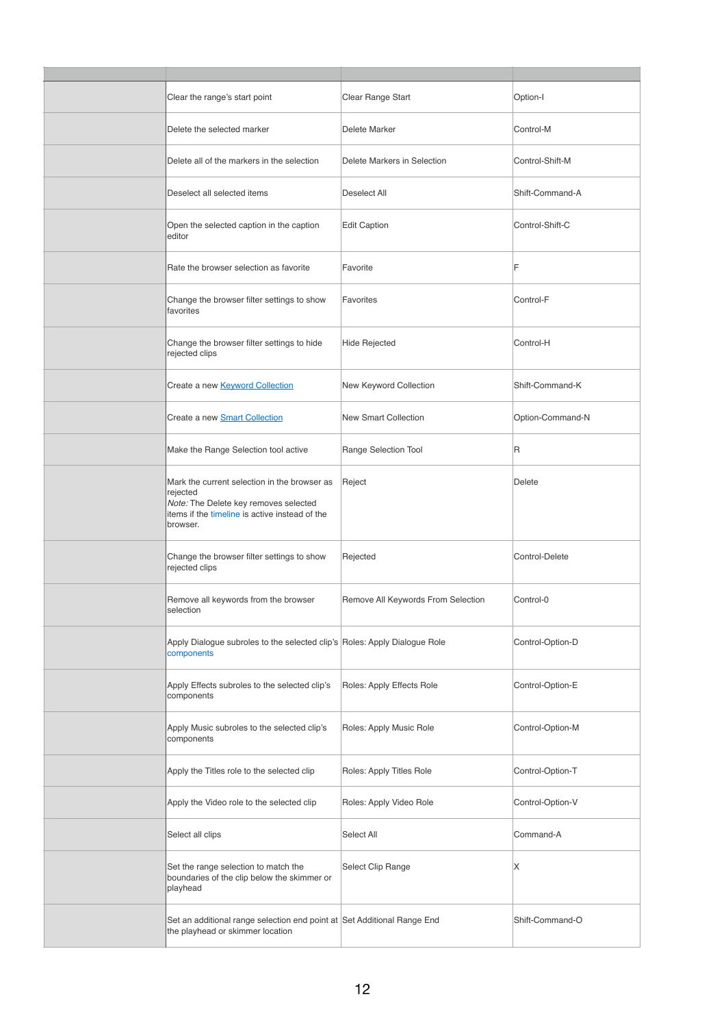| Clear the range's start point                                                                                                                                   | Clear Range Start                  | Option-I         |
|-----------------------------------------------------------------------------------------------------------------------------------------------------------------|------------------------------------|------------------|
| Delete the selected marker                                                                                                                                      | Delete Marker                      | Control-M        |
| Delete all of the markers in the selection                                                                                                                      | Delete Markers in Selection        | Control-Shift-M  |
| Deselect all selected items                                                                                                                                     | Deselect All                       | Shift-Command-A  |
| Open the selected caption in the caption<br>editor                                                                                                              | <b>Edit Caption</b>                | Control-Shift-C  |
| Rate the browser selection as favorite                                                                                                                          | Favorite                           | F                |
| Change the browser filter settings to show<br>favorites                                                                                                         | Favorites                          | Control-F        |
| Change the browser filter settings to hide<br>rejected clips                                                                                                    | <b>Hide Rejected</b>               | Control-H        |
| Create a new <b>Keyword Collection</b>                                                                                                                          | New Keyword Collection             | Shift-Command-K  |
| Create a new <b>Smart Collection</b>                                                                                                                            | <b>New Smart Collection</b>        | Option-Command-N |
| Make the Range Selection tool active                                                                                                                            | Range Selection Tool               | R                |
| Mark the current selection in the browser as<br>rejected<br>Note: The Delete key removes selected<br>items if the timeline is active instead of the<br>browser. | Reject                             | Delete           |
| Change the browser filter settings to show<br>rejected clips                                                                                                    | Rejected                           | Control-Delete   |
| Remove all keywords from the browser<br>selection                                                                                                               | Remove All Keywords From Selection | Control-0        |
| Apply Dialogue subroles to the selected clip's Roles: Apply Dialogue Role<br>components                                                                         |                                    | Control-Option-D |
| Apply Effects subroles to the selected clip's<br>components                                                                                                     | Roles: Apply Effects Role          | Control-Option-E |
| Apply Music subroles to the selected clip's<br>components                                                                                                       | Roles: Apply Music Role            | Control-Option-M |
| Apply the Titles role to the selected clip                                                                                                                      | Roles: Apply Titles Role           | Control-Option-T |
| Apply the Video role to the selected clip                                                                                                                       | Roles: Apply Video Role            | Control-Option-V |
| Select all clips                                                                                                                                                | Select All                         | Command-A        |
| Set the range selection to match the<br>boundaries of the clip below the skimmer or<br>playhead                                                                 | Select Clip Range                  | X                |
| Set an additional range selection end point at Set Additional Range End<br>the playhead or skimmer location                                                     |                                    | Shift-Command-O  |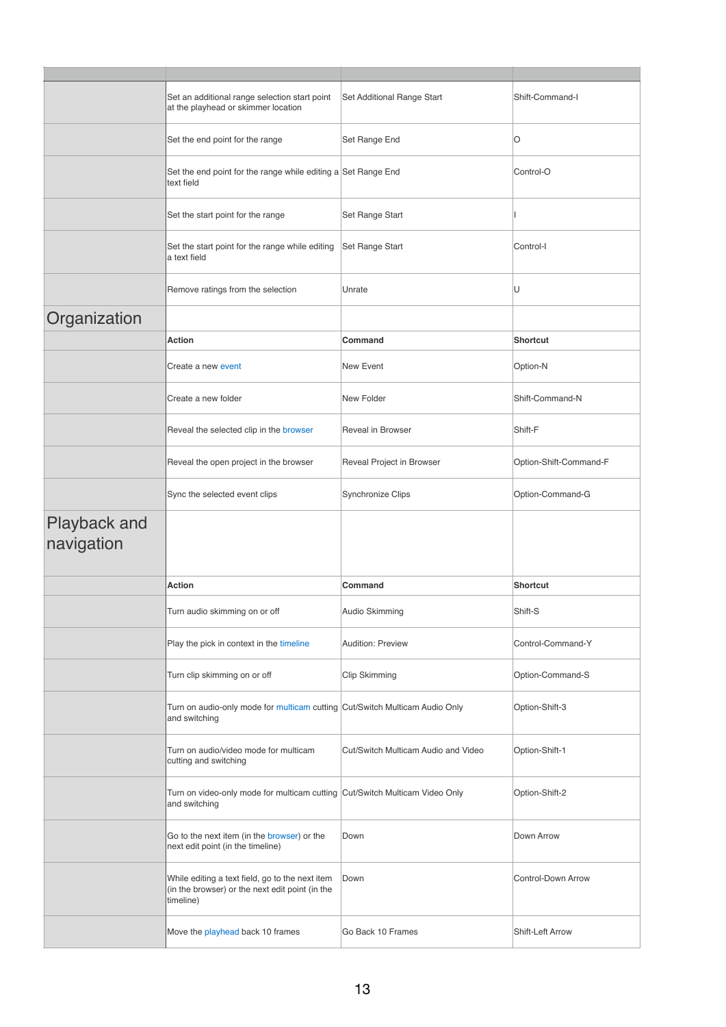|                            | Set an additional range selection start point<br>at the playhead or skimmer location                            | Set Additional Range Start          | Shift-Command-I        |
|----------------------------|-----------------------------------------------------------------------------------------------------------------|-------------------------------------|------------------------|
|                            | Set the end point for the range                                                                                 | Set Range End                       | O                      |
|                            | Set the end point for the range while editing a Set Range End<br>text field                                     |                                     | Control-O              |
|                            | Set the start point for the range                                                                               | Set Range Start                     |                        |
|                            | Set the start point for the range while editing<br>a text field                                                 | Set Range Start                     | Control-I              |
|                            | Remove ratings from the selection                                                                               | Unrate                              | U                      |
| Organization               |                                                                                                                 |                                     |                        |
|                            | Action                                                                                                          | Command                             | <b>Shortcut</b>        |
|                            | Create a new event                                                                                              | New Event                           | Option-N               |
|                            | Create a new folder                                                                                             | New Folder                          | Shift-Command-N        |
|                            | Reveal the selected clip in the browser                                                                         | <b>Reveal in Browser</b>            | Shift-F                |
|                            | Reveal the open project in the browser                                                                          | Reveal Project in Browser           | Option-Shift-Command-F |
|                            | Sync the selected event clips                                                                                   | Synchronize Clips                   | Option-Command-G       |
| Playback and<br>navigation |                                                                                                                 |                                     |                        |
|                            | <b>Action</b>                                                                                                   | Command                             | <b>Shortcut</b>        |
|                            | Turn audio skimming on or off                                                                                   | Audio Skimming                      | Shift-S                |
|                            | Play the pick in context in the timeline                                                                        | <b>Audition: Preview</b>            | Control-Command-Y      |
|                            | Turn clip skimming on or off                                                                                    | Clip Skimming                       | Option-Command-S       |
|                            | Turn on audio-only mode for multicam cutting Cut/Switch Multicam Audio Only<br>and switching                    |                                     | Option-Shift-3         |
|                            | Turn on audio/video mode for multicam<br>cutting and switching                                                  | Cut/Switch Multicam Audio and Video | Option-Shift-1         |
|                            | Turn on video-only mode for multicam cutting Cut/Switch Multicam Video Only<br>and switching                    |                                     | Option-Shift-2         |
|                            | Go to the next item (in the browser) or the<br>next edit point (in the timeline)                                | Down                                | Down Arrow             |
|                            | While editing a text field, go to the next item<br>(in the browser) or the next edit point (in the<br>timeline) | Down                                | Control-Down Arrow     |
|                            | Move the playhead back 10 frames                                                                                | Go Back 10 Frames                   | Shift-Left Arrow       |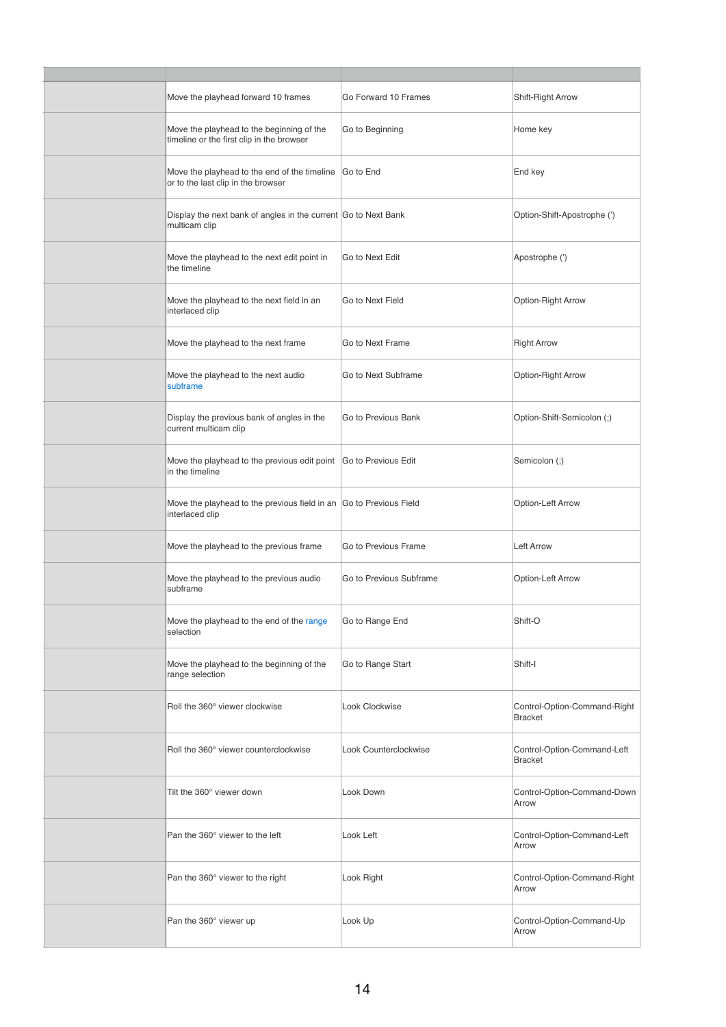| Move the playhead forward 10 frames                                                          | Go Forward 10 Frames    | Shift-Right Arrow                              |
|----------------------------------------------------------------------------------------------|-------------------------|------------------------------------------------|
| Move the playhead to the beginning of the<br>timeline or the first clip in the browser       | Go to Beginning         | Home key                                       |
| Move the playhead to the end of the timeline Go to End<br>or to the last clip in the browser |                         | End key                                        |
| Display the next bank of angles in the current Go to Next Bank<br>multicam clip              |                         | Option-Shift-Apostrophe (')                    |
| Move the playhead to the next edit point in<br>the timeline                                  | Go to Next Edit         | Apostrophe (')                                 |
| Move the playhead to the next field in an<br>interlaced clip                                 | Go to Next Field        | Option-Right Arrow                             |
| Move the playhead to the next frame                                                          | Go to Next Frame        | <b>Right Arrow</b>                             |
| Move the playhead to the next audio<br>subframe                                              | Go to Next Subframe     | Option-Right Arrow                             |
| Display the previous bank of angles in the<br>current multicam clip                          | Go to Previous Bank     | Option-Shift-Semicolon (;)                     |
| Move the playhead to the previous edit point Go to Previous Edit<br>in the timeline          |                         | Semicolon (;)                                  |
| Move the playhead to the previous field in an Go to Previous Field<br>interlaced clip        |                         | Option-Left Arrow                              |
| Move the playhead to the previous frame                                                      | Go to Previous Frame    | <b>Left Arrow</b>                              |
| Move the playhead to the previous audio<br>subframe                                          | Go to Previous Subframe | Option-Left Arrow                              |
| Move the playhead to the end of the range<br>selection                                       | Go to Range End         | Shift-O                                        |
| Move the playhead to the beginning of the<br>range selection                                 | Go to Range Start       | Shift-I                                        |
| Roll the 360° viewer clockwise                                                               | Look Clockwise          | Control-Option-Command-Right<br><b>Bracket</b> |
| Roll the 360° viewer counterclockwise                                                        | Look Counterclockwise   | Control-Option-Command-Left<br><b>Bracket</b>  |
| Tilt the 360° viewer down                                                                    | Look Down               | Control-Option-Command-Down<br>Arrow           |
| Pan the 360° viewer to the left                                                              | Look Left               | Control-Option-Command-Left<br>Arrow           |
| Pan the 360° viewer to the right                                                             | Look Right              | Control-Option-Command-Right<br>Arrow          |
| Pan the 360° viewer up                                                                       | Look Up                 | Control-Option-Command-Up<br>Arrow             |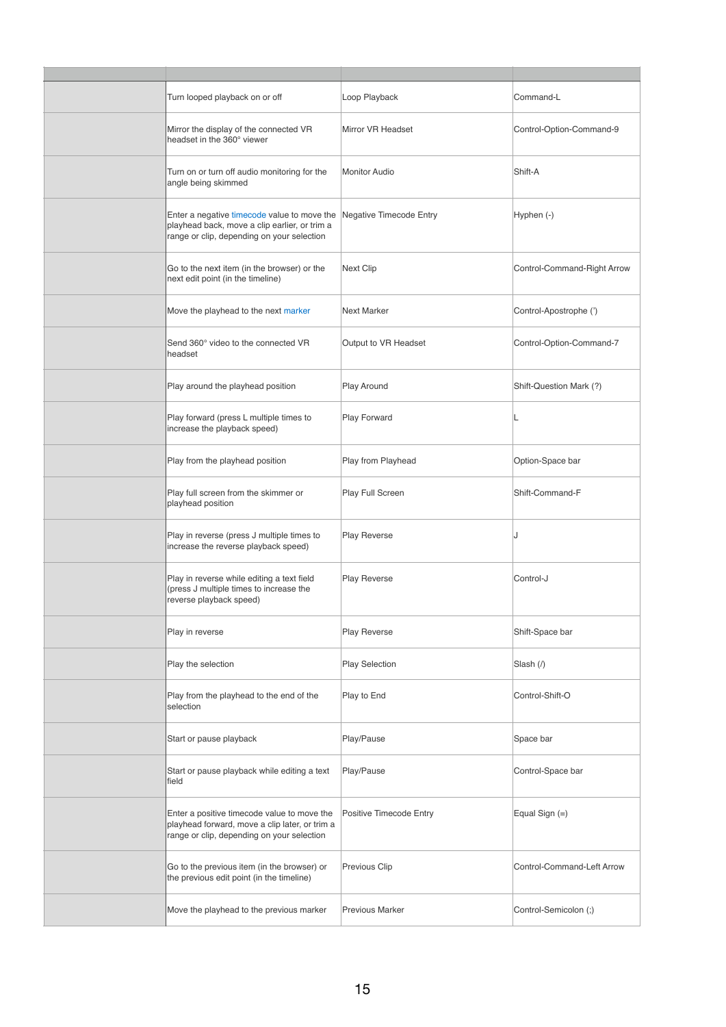| Turn looped playback on or off                                                                                                              | Loop Playback           | Command-L                   |
|---------------------------------------------------------------------------------------------------------------------------------------------|-------------------------|-----------------------------|
| Mirror the display of the connected VR<br>headset in the 360° viewer                                                                        | Mirror VR Headset       | Control-Option-Command-9    |
| Turn on or turn off audio monitoring for the<br>angle being skimmed                                                                         | <b>Monitor Audio</b>    | Shift-A                     |
| Enter a negative timecode value to move the<br>playhead back, move a clip earlier, or trim a<br>range or clip, depending on your selection  | Negative Timecode Entry | Hyphen (-)                  |
| Go to the next item (in the browser) or the<br>next edit point (in the timeline)                                                            | Next Clip               | Control-Command-Right Arrow |
| Move the playhead to the next marker                                                                                                        | <b>Next Marker</b>      | Control-Apostrophe (')      |
| Send 360° video to the connected VR<br>headset                                                                                              | Output to VR Headset    | Control-Option-Command-7    |
| Play around the playhead position                                                                                                           | Play Around             | Shift-Question Mark (?)     |
| Play forward (press L multiple times to<br>increase the playback speed)                                                                     | Play Forward            | L                           |
| Play from the playhead position                                                                                                             | Play from Playhead      | Option-Space bar            |
| Play full screen from the skimmer or<br>playhead position                                                                                   | Play Full Screen        | Shift-Command-F             |
| Play in reverse (press J multiple times to<br>increase the reverse playback speed)                                                          | <b>Play Reverse</b>     | J                           |
| Play in reverse while editing a text field<br>(press J multiple times to increase the<br>reverse playback speed)                            | <b>Play Reverse</b>     | Control-J                   |
| Play in reverse                                                                                                                             | <b>Play Reverse</b>     | Shift-Space bar             |
| Play the selection                                                                                                                          | <b>Play Selection</b>   | Slash (/)                   |
| Play from the playhead to the end of the<br>selection                                                                                       | Play to End             | Control-Shift-O             |
| Start or pause playback                                                                                                                     | Play/Pause              | Space bar                   |
| Start or pause playback while editing a text<br>field                                                                                       | Play/Pause              | Control-Space bar           |
| Enter a positive timecode value to move the<br>playhead forward, move a clip later, or trim a<br>range or clip, depending on your selection | Positive Timecode Entry | Equal Sign $(=)$            |
| Go to the previous item (in the browser) or<br>the previous edit point (in the timeline)                                                    | Previous Clip           | Control-Command-Left Arrow  |
| Move the playhead to the previous marker                                                                                                    | <b>Previous Marker</b>  | Control-Semicolon (;)       |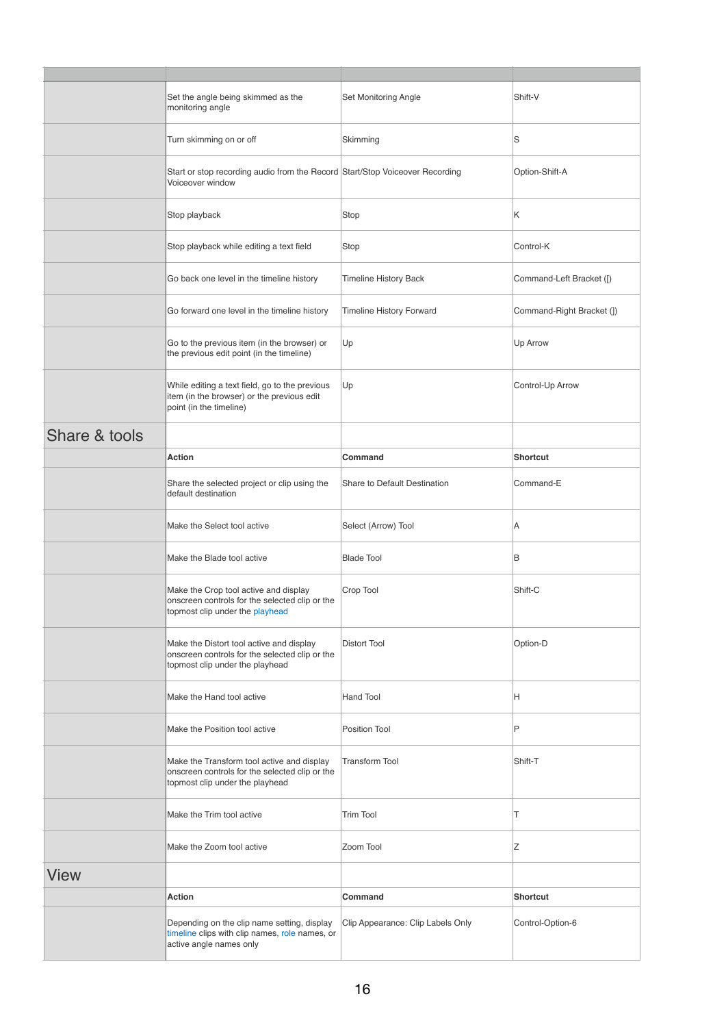|               | Set the angle being skimmed as the<br>monitoring angle                                                                          | Set Monitoring Angle              | Shift-V                   |
|---------------|---------------------------------------------------------------------------------------------------------------------------------|-----------------------------------|---------------------------|
|               | Turn skimming on or off                                                                                                         | Skimming                          | S                         |
|               | Start or stop recording audio from the Record Start/Stop Voiceover Recording<br>Voiceover window                                |                                   | Option-Shift-A            |
|               | Stop playback                                                                                                                   | Stop                              | Κ                         |
|               | Stop playback while editing a text field                                                                                        | Stop                              | Control-K                 |
|               | Go back one level in the timeline history                                                                                       | <b>Timeline History Back</b>      | Command-Left Bracket ([)  |
|               | Go forward one level in the timeline history                                                                                    | <b>Timeline History Forward</b>   | Command-Right Bracket (]) |
|               | Go to the previous item (in the browser) or<br>the previous edit point (in the timeline)                                        | Up                                | Up Arrow                  |
|               | While editing a text field, go to the previous<br>item (in the browser) or the previous edit<br>point (in the timeline)         | Up                                | Control-Up Arrow          |
| Share & tools |                                                                                                                                 |                                   |                           |
|               | <b>Action</b>                                                                                                                   | Command                           | Shortcut                  |
|               | Share the selected project or clip using the<br>default destination                                                             | Share to Default Destination      | Command-E                 |
|               | Make the Select tool active                                                                                                     | Select (Arrow) Tool               | Α                         |
|               | Make the Blade tool active                                                                                                      | <b>Blade Tool</b>                 | B                         |
|               | Make the Crop tool active and display<br>onscreen controls for the selected clip or the<br>topmost clip under the playhead      | Crop Tool                         | Shift-C                   |
|               | Make the Distort tool active and display<br>onscreen controls for the selected clip or the<br>topmost clip under the playhead   | <b>Distort Tool</b>               | Option-D                  |
|               | Make the Hand tool active                                                                                                       | <b>Hand Tool</b>                  | H                         |
|               | Make the Position tool active                                                                                                   | Position Tool                     | P                         |
|               | Make the Transform tool active and display<br>onscreen controls for the selected clip or the<br>topmost clip under the playhead | <b>Transform Tool</b>             | Shift-T                   |
|               | Make the Trim tool active                                                                                                       | <b>Trim Tool</b>                  | T                         |
|               | Make the Zoom tool active                                                                                                       | Zoom Tool                         | Ζ                         |
| <b>View</b>   |                                                                                                                                 |                                   |                           |
|               | <b>Action</b>                                                                                                                   | Command                           | <b>Shortcut</b>           |
|               | Depending on the clip name setting, display<br>timeline clips with clip names, role names, or<br>active angle names only        | Clip Appearance: Clip Labels Only | Control-Option-6          |
|               |                                                                                                                                 |                                   |                           |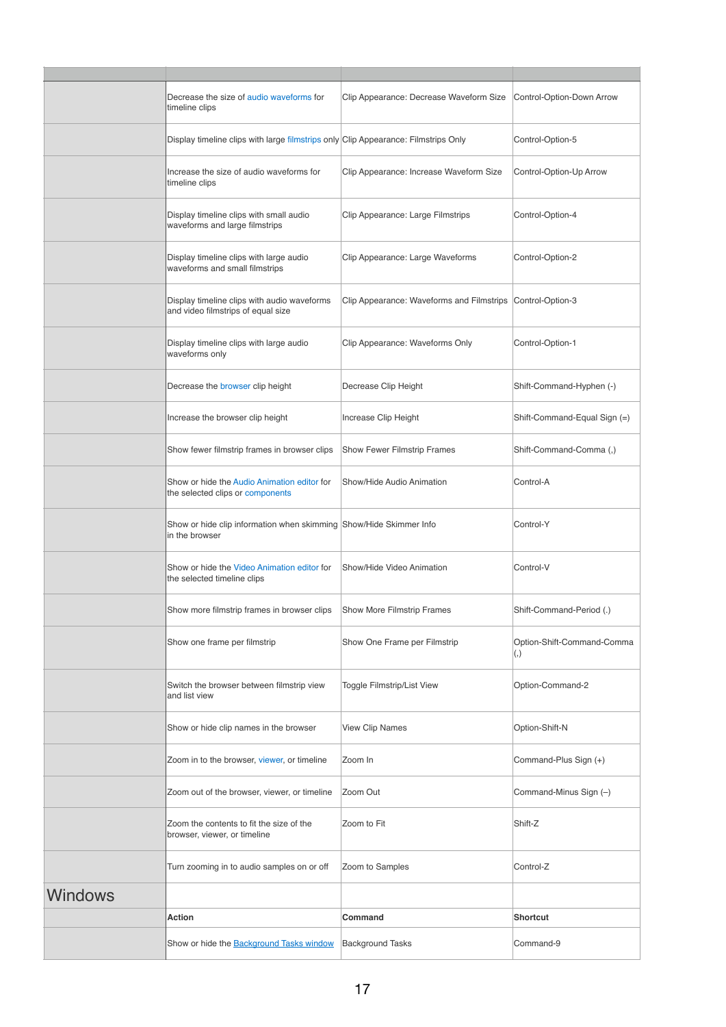|         | Decrease the size of audio waveforms for<br>timeline clips                           | Clip Appearance: Decrease Waveform Size                    | Control-Option-Down Arrow                       |
|---------|--------------------------------------------------------------------------------------|------------------------------------------------------------|-------------------------------------------------|
|         | Display timeline clips with large filmstrips only Clip Appearance: Filmstrips Only   |                                                            | Control-Option-5                                |
|         | Increase the size of audio waveforms for<br>timeline clips                           | Clip Appearance: Increase Waveform Size                    | Control-Option-Up Arrow                         |
|         | Display timeline clips with small audio<br>waveforms and large filmstrips            | Clip Appearance: Large Filmstrips                          | Control-Option-4                                |
|         | Display timeline clips with large audio<br>waveforms and small filmstrips            | Clip Appearance: Large Waveforms                           | Control-Option-2                                |
|         | Display timeline clips with audio waveforms<br>and video filmstrips of equal size    | Clip Appearance: Waveforms and Filmstrips Control-Option-3 |                                                 |
|         | Display timeline clips with large audio<br>waveforms only                            | Clip Appearance: Waveforms Only                            | Control-Option-1                                |
|         | Decrease the browser clip height                                                     | Decrease Clip Height                                       | Shift-Command-Hyphen (-)                        |
|         | Increase the browser clip height                                                     | Increase Clip Height                                       | Shift-Command-Equal Sign (=)                    |
|         | Show fewer filmstrip frames in browser clips                                         | <b>Show Fewer Filmstrip Frames</b>                         | Shift-Command-Comma (,)                         |
|         | Show or hide the Audio Animation editor for<br>the selected clips or components      | Show/Hide Audio Animation                                  | Control-A                                       |
|         | Show or hide clip information when skimming Show/Hide Skimmer Info<br>in the browser |                                                            | Control-Y                                       |
|         | Show or hide the Video Animation editor for<br>the selected timeline clips           | Show/Hide Video Animation                                  | Control-V                                       |
|         | Show more filmstrip frames in browser clips                                          | Show More Filmstrip Frames                                 | Shift-Command-Period (.)                        |
|         | Show one frame per filmstrip                                                         | Show One Frame per Filmstrip                               | Option-Shift-Command-Comma<br>$\left( ,\right)$ |
|         | Switch the browser between filmstrip view<br>and list view                           | Toggle Filmstrip/List View                                 | Option-Command-2                                |
|         | Show or hide clip names in the browser                                               | <b>View Clip Names</b>                                     | Option-Shift-N                                  |
|         | Zoom in to the browser, viewer, or timeline                                          | Zoom In                                                    | Command-Plus Sign (+)                           |
|         | Zoom out of the browser, viewer, or timeline                                         | Zoom Out                                                   | Command-Minus Sign (-)                          |
|         | Zoom the contents to fit the size of the<br>browser, viewer, or timeline             | Zoom to Fit                                                | Shift-Z                                         |
|         | Turn zooming in to audio samples on or off                                           | Zoom to Samples                                            | Control-Z                                       |
| Windows |                                                                                      |                                                            |                                                 |
|         | Action                                                                               | Command                                                    | <b>Shortcut</b>                                 |
|         | Show or hide the <b>Background Tasks window</b>                                      | <b>Background Tasks</b>                                    | Command-9                                       |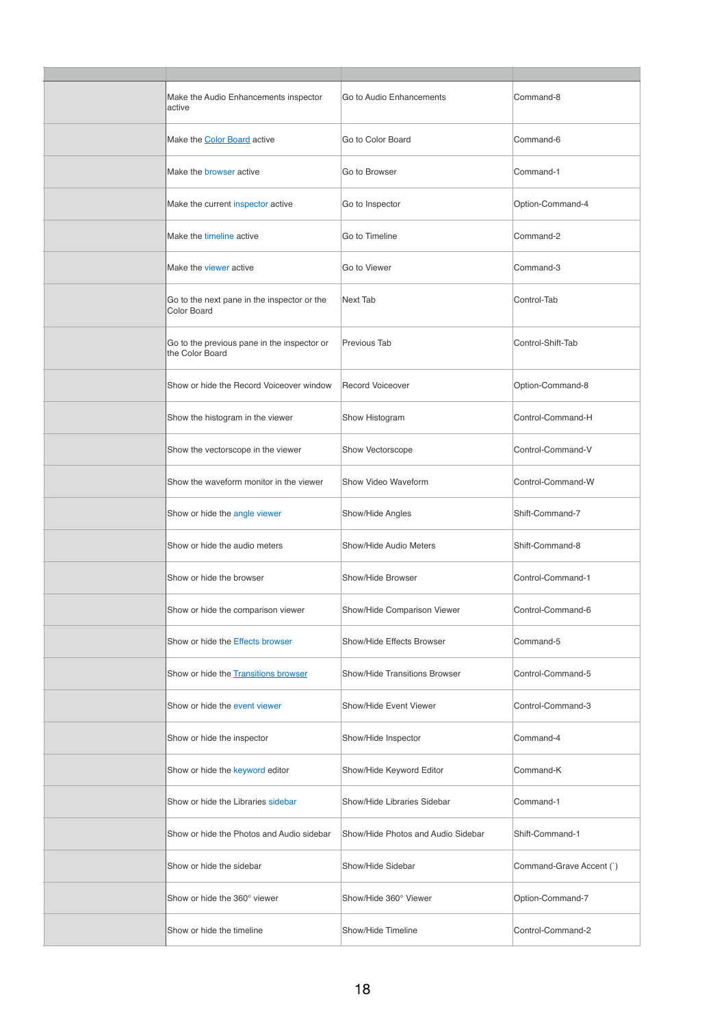| Make the Audio Enhancements inspector<br>active                | Go to Audio Enhancements           | Command-8                |
|----------------------------------------------------------------|------------------------------------|--------------------------|
| Make the Color Board active                                    | Go to Color Board                  | Command-6                |
| Make the browser active                                        | Go to Browser                      | Command-1                |
| Make the current inspector active                              | Go to Inspector                    | Option-Command-4         |
| Make the timeline active                                       | Go to Timeline                     | Command-2                |
| Make the viewer active                                         | Go to Viewer                       | Command-3                |
| Go to the next pane in the inspector or the<br>Color Board     | Next Tab                           | Control-Tab              |
| Go to the previous pane in the inspector or<br>the Color Board | Previous Tab                       | Control-Shift-Tab        |
| Show or hide the Record Voiceover window                       | <b>Record Voiceover</b>            | Option-Command-8         |
| Show the histogram in the viewer                               | Show Histogram                     | Control-Command-H        |
| Show the vectorscope in the viewer                             | Show Vectorscope                   | Control-Command-V        |
| Show the waveform monitor in the viewer                        | Show Video Waveform                | Control-Command-W        |
| Show or hide the angle viewer                                  | Show/Hide Angles                   | Shift-Command-7          |
| Show or hide the audio meters                                  | Show/Hide Audio Meters             | Shift-Command-8          |
| Show or hide the browser                                       | Show/Hide Browser                  | Control-Command-1        |
| Show or hide the comparison viewer                             | Show/Hide Comparison Viewer        | Control-Command-6        |
| Show or hide the Effects browser                               | Show/Hide Effects Browser          | Command-5                |
| Show or hide the Transitions browser                           | Show/Hide Transitions Browser      | Control-Command-5        |
| Show or hide the event viewer                                  | Show/Hide Event Viewer             | Control-Command-3        |
| Show or hide the inspector                                     | Show/Hide Inspector                | Command-4                |
| Show or hide the keyword editor                                | Show/Hide Keyword Editor           | Command-K                |
| Show or hide the Libraries sidebar                             | Show/Hide Libraries Sidebar        | Command-1                |
| Show or hide the Photos and Audio sidebar                      | Show/Hide Photos and Audio Sidebar | Shift-Command-1          |
| Show or hide the sidebar                                       | Show/Hide Sidebar                  | Command-Grave Accent (`) |
| Show or hide the 360° viewer                                   | Show/Hide 360° Viewer              | Option-Command-7         |
| Show or hide the timeline                                      | Show/Hide Timeline                 | Control-Command-2        |